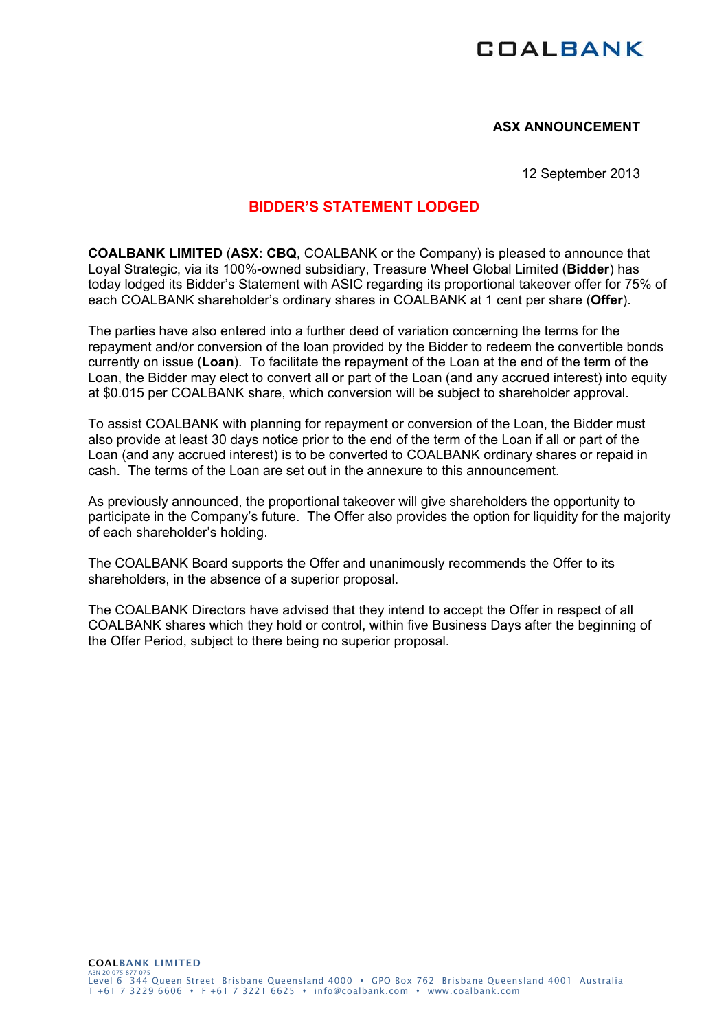## **COALBANK**

## **ASX ANNOUNCEMENT**

12 September 2013

## **BIDDER'S STATEMENT LODGED**

**COALBANK LIMITED** (**ASX: CBQ**, COALBANK or the Company) is pleased to announce that Loyal Strategic, via its 100%-owned subsidiary, Treasure Wheel Global Limited (**Bidder**) has today lodged its Bidder's Statement with ASIC regarding its proportional takeover offer for 75% of each COALBANK shareholder's ordinary shares in COALBANK at 1 cent per share (**Offer**).

The parties have also entered into a further deed of variation concerning the terms for the repayment and/or conversion of the loan provided by the Bidder to redeem the convertible bonds currently on issue (**Loan**). To facilitate the repayment of the Loan at the end of the term of the Loan, the Bidder may elect to convert all or part of the Loan (and any accrued interest) into equity at \$0.015 per COALBANK share, which conversion will be subject to shareholder approval.

To assist COALBANK with planning for repayment or conversion of the Loan, the Bidder must also provide at least 30 days notice prior to the end of the term of the Loan if all or part of the Loan (and any accrued interest) is to be converted to COALBANK ordinary shares or repaid in cash. The terms of the Loan are set out in the annexure to this announcement.

As previously announced, the proportional takeover will give shareholders the opportunity to participate in the Company's future. The Offer also provides the option for liquidity for the majority of each shareholder's holding.

The COALBANK Board supports the Offer and unanimously recommends the Offer to its shareholders, in the absence of a superior proposal.

The COALBANK Directors have advised that they intend to accept the Offer in respect of all COALBANK shares which they hold or control, within five Business Days after the beginning of the Offer Period, subject to there being no superior proposal.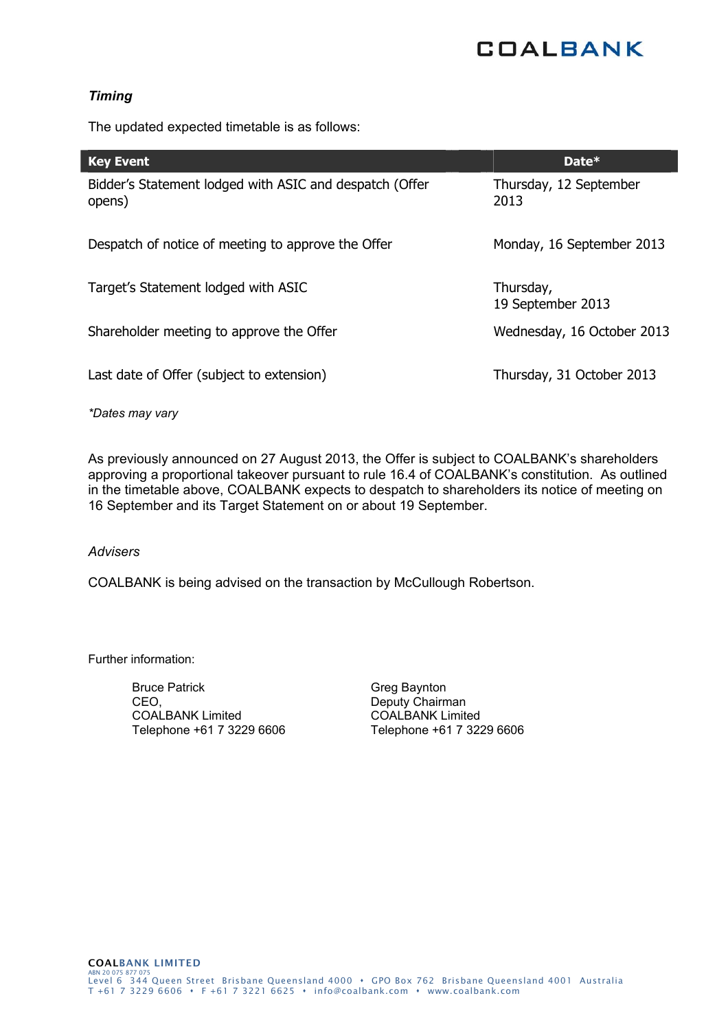# **COALBANK**

## *Timing*

The updated expected timetable is as follows:

| <b>Key Event</b>                                                  | Date*                          |
|-------------------------------------------------------------------|--------------------------------|
| Bidder's Statement lodged with ASIC and despatch (Offer<br>opens) | Thursday, 12 September<br>2013 |
| Despatch of notice of meeting to approve the Offer                | Monday, 16 September 2013      |
| Target's Statement lodged with ASIC                               | Thursday,<br>19 September 2013 |
| Shareholder meeting to approve the Offer                          | Wednesday, 16 October 2013     |
| Last date of Offer (subject to extension)                         | Thursday, 31 October 2013      |

*\*Dates may vary* 

As previously announced on 27 August 2013, the Offer is subject to COALBANK's shareholders approving a proportional takeover pursuant to rule 16.4 of COALBANK's constitution. As outlined in the timetable above, COALBANK expects to despatch to shareholders its notice of meeting on 16 September and its Target Statement on or about 19 September.

#### *Advisers*

COALBANK is being advised on the transaction by McCullough Robertson.

Further information:

Bruce Patrick CEO, COALBANK Limited Telephone +61 7 3229 6606 Greg Baynton Deputy Chairman COALBANK Limited Telephone +61 7 3229 6606